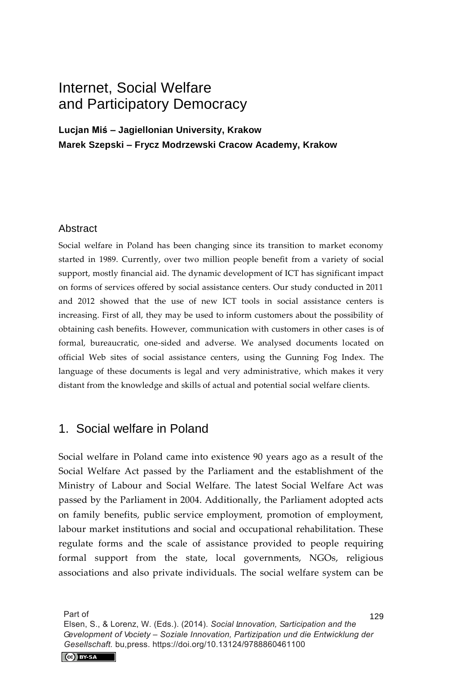# Internet, Social Welfare and Participatory Democracy

**Lucjan Miś – Jagiellonian University, Krakow Marek Szepski – Frycz Modrzewski Cracow Academy, Krakow** 

#### **Abstract**

Social welfare in Poland has been changing since its transition to market economy started in 1989. Currently, over two million people benefit from a variety of social support, mostly financial aid. The dynamic development of ICT has significant impact on forms of services offered by social assistance centers. Our study conducted in 2011 and 2012 showed that the use of new ICT tools in social assistance centers is increasing. First of all, they may be used to inform customers about the possibility of obtaining cash benefits. However, communication with customers in other cases is of formal, bureaucratic, one-sided and adverse. We analysed documents located on official Web sites of social assistance centers, using the Gunning Fog Index. The language of these documents is legal and very administrative, which makes it very distant from the knowledge and skills of actual and potential social welfare clients.

### 1. Social welfare in Poland

Social welfare in Poland came into existence 90 years ago as a result of the Social Welfare Act passed by the Parliament and the establishment of the Ministry of Labour and Social Welfare. The latest Social Welfare Act was passed by the Parliament in 2004. Additionally, the Parliament adopted acts on family benefits, public service employment, promotion of employment, labour market institutions and social and occupational rehabilitation. These regulate forms and the scale of assistance provided to people requiring formal support from the state, local governments, NGOs, religious associations and also private individuals. The social welfare system can be

Part of

129 Elsen, S., & Lorenz, W. (Eds.). (2014). Social  $\tilde{a}$ novation, *] articipation and the Gevelopment of Vociety – Soziale Innovation, Partizipation und die Entwicklung der Gesellschaft.* bu,press. https://doi.org/10.13124/9788860461100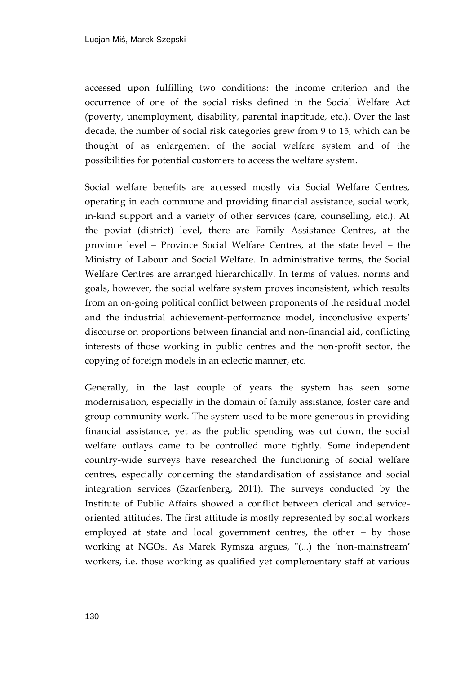accessed upon fulfilling two conditions: the income criterion and the occurrence of one of the social risks defined in the Social Welfare Act (poverty, unemployment, disability, parental inaptitude, etc.). Over the last decade, the number of social risk categories grew from 9 to 15, which can be thought of as enlargement of the social welfare system and of the possibilities for potential customers to access the welfare system.

Social welfare benefits are accessed mostly via Social Welfare Centres, operating in each commune and providing financial assistance, social work, in-kind support and a variety of other services (care, counselling, etc.). At the poviat (district) level, there are Family Assistance Centres, at the province level – Province Social Welfare Centres, at the state level – the Ministry of Labour and Social Welfare. In administrative terms, the Social Welfare Centres are arranged hierarchically. In terms of values, norms and goals, however, the social welfare system proves inconsistent, which results from an on-going political conflict between proponents of the residual model and the industrial achievement-performance model, inconclusive experts' discourse on proportions between financial and non-financial aid, conflicting interests of those working in public centres and the non-profit sector, the copying of foreign models in an eclectic manner, etc.

Generally, in the last couple of years the system has seen some modernisation, especially in the domain of family assistance, foster care and group community work. The system used to be more generous in providing financial assistance, yet as the public spending was cut down, the social welfare outlays came to be controlled more tightly. Some independent country-wide surveys have researched the functioning of social welfare centres, especially concerning the standardisation of assistance and social integration services (Szarfenberg, 2011). The surveys conducted by the Institute of Public Affairs showed a conflict between clerical and serviceoriented attitudes. The first attitude is mostly represented by social workers employed at state and local government centres, the other – by those working at NGOs. As Marek Rymsza argues, "(...) the 'non-mainstream' workers, i.e. those working as qualified yet complementary staff at various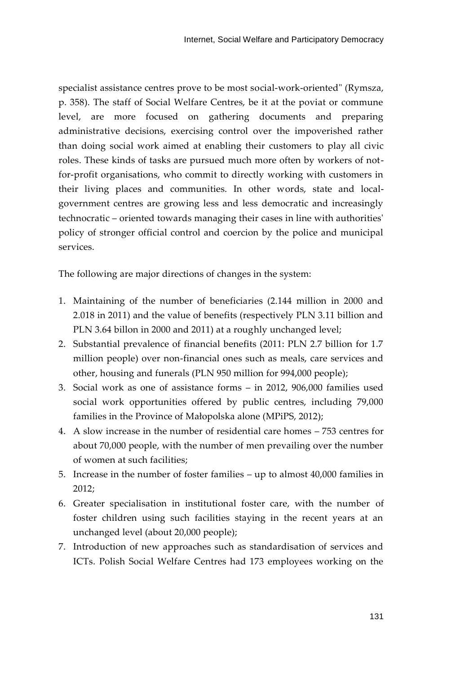specialist assistance centres prove to be most social-work-oriented" (Rymsza, p. 358). The staff of Social Welfare Centres, be it at the poviat or commune level, are more focused on gathering documents and preparing administrative decisions, exercising control over the impoverished rather than doing social work aimed at enabling their customers to play all civic roles. These kinds of tasks are pursued much more often by workers of notfor-profit organisations, who commit to directly working with customers in their living places and communities. In other words, state and localgovernment centres are growing less and less democratic and increasingly technocratic – oriented towards managing their cases in line with authorities' policy of stronger official control and coercion by the police and municipal services.

The following are major directions of changes in the system:

- 1. Maintaining of the number of beneficiaries (2.144 million in 2000 and 2.018 in 2011) and the value of benefits (respectively PLN 3.11 billion and PLN 3.64 billon in 2000 and 2011) at a roughly unchanged level;
- 2. Substantial prevalence of financial benefits (2011: PLN 2.7 billion for 1.7 million people) over non-financial ones such as meals, care services and other, housing and funerals (PLN 950 million for 994,000 people);
- 3. Social work as one of assistance forms in 2012, 906,000 families used social work opportunities offered by public centres, including 79,000 families in the Province of Małopolska alone (MPiPS, 2012);
- 4. A slow increase in the number of residential care homes 753 centres for about 70,000 people, with the number of men prevailing over the number of women at such facilities;
- 5. Increase in the number of foster families up to almost 40,000 families in 2012;
- 6. Greater specialisation in institutional foster care, with the number of foster children using such facilities staying in the recent years at an unchanged level (about 20,000 people);
- 7. Introduction of new approaches such as standardisation of services and ICTs. Polish Social Welfare Centres had 173 employees working on the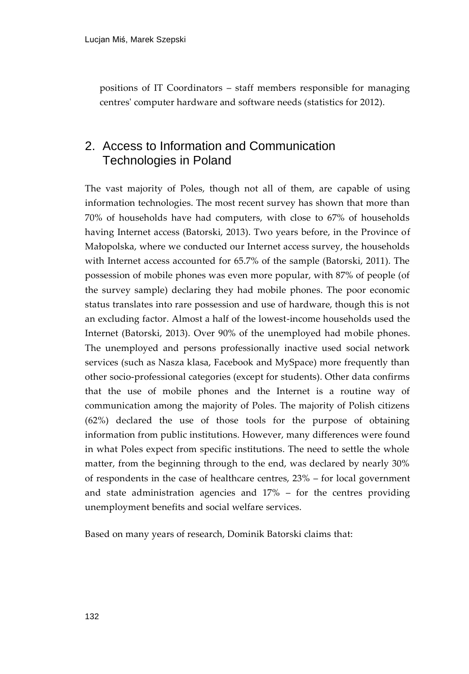positions of IT Coordinators – staff members responsible for managing centres' computer hardware and software needs (statistics for 2012).

# 2. Access to Information and Communication Technologies in Poland

The vast majority of Poles, though not all of them, are capable of using information technologies. The most recent survey has shown that more than 70% of households have had computers, with close to 67% of households having Internet access (Batorski, 2013). Two years before, in the Province of Małopolska, where we conducted our Internet access survey, the households with Internet access accounted for 65.7% of the sample (Batorski, 2011). The possession of mobile phones was even more popular, with 87% of people (of the survey sample) declaring they had mobile phones. The poor economic status translates into rare possession and use of hardware, though this is not an excluding factor. Almost a half of the lowest-income households used the Internet (Batorski, 2013). Over 90% of the unemployed had mobile phones. The unemployed and persons professionally inactive used social network services (such as Nasza klasa, Facebook and MySpace) more frequently than other socio-professional categories (except for students). Other data confirms that the use of mobile phones and the Internet is a routine way of communication among the majority of Poles. The majority of Polish citizens (62%) declared the use of those tools for the purpose of obtaining information from public institutions. However, many differences were found in what Poles expect from specific institutions. The need to settle the whole matter, from the beginning through to the end, was declared by nearly 30% of respondents in the case of healthcare centres, 23% – for local government and state administration agencies and 17% – for the centres providing unemployment benefits and social welfare services.

Based on many years of research, Dominik Batorski claims that: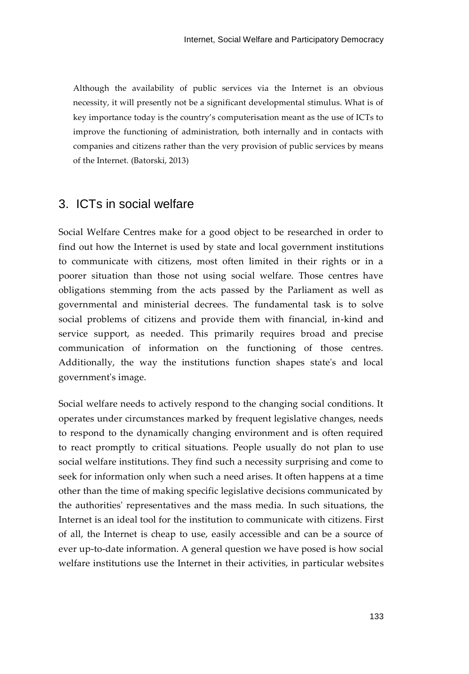Although the availability of public services via the Internet is an obvious necessity, it will presently not be a significant developmental stimulus. What is of key importance today is the country's computerisation meant as the use of ICTs to improve the functioning of administration, both internally and in contacts with companies and citizens rather than the very provision of public services by means of the Internet. (Batorski, 2013)

#### 3. ICTs in social welfare

Social Welfare Centres make for a good object to be researched in order to find out how the Internet is used by state and local government institutions to communicate with citizens, most often limited in their rights or in a poorer situation than those not using social welfare. Those centres have obligations stemming from the acts passed by the Parliament as well as governmental and ministerial decrees. The fundamental task is to solve social problems of citizens and provide them with financial, in-kind and service support, as needed. This primarily requires broad and precise communication of information on the functioning of those centres. Additionally, the way the institutions function shapes state's and local government's image.

Social welfare needs to actively respond to the changing social conditions. It operates under circumstances marked by frequent legislative changes, needs to respond to the dynamically changing environment and is often required to react promptly to critical situations. People usually do not plan to use social welfare institutions. They find such a necessity surprising and come to seek for information only when such a need arises. It often happens at a time other than the time of making specific legislative decisions communicated by the authorities' representatives and the mass media. In such situations, the Internet is an ideal tool for the institution to communicate with citizens. First of all, the Internet is cheap to use, easily accessible and can be a source of ever up-to-date information. A general question we have posed is how social welfare institutions use the Internet in their activities, in particular websites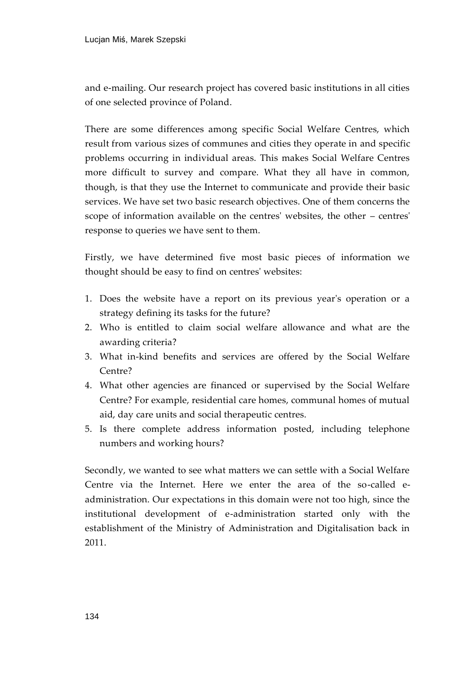and e-mailing. Our research project has covered basic institutions in all cities of one selected province of Poland.

There are some differences among specific Social Welfare Centres, which result from various sizes of communes and cities they operate in and specific problems occurring in individual areas. This makes Social Welfare Centres more difficult to survey and compare. What they all have in common, though, is that they use the Internet to communicate and provide their basic services. We have set two basic research objectives. One of them concerns the scope of information available on the centres' websites, the other – centres' response to queries we have sent to them.

Firstly, we have determined five most basic pieces of information we thought should be easy to find on centres' websites:

- 1. Does the website have a report on its previous year's operation or a strategy defining its tasks for the future?
- 2. Who is entitled to claim social welfare allowance and what are the awarding criteria?
- 3. What in-kind benefits and services are offered by the Social Welfare Centre?
- 4. What other agencies are financed or supervised by the Social Welfare Centre? For example, residential care homes, communal homes of mutual aid, day care units and social therapeutic centres.
- 5. Is there complete address information posted, including telephone numbers and working hours?

Secondly, we wanted to see what matters we can settle with a Social Welfare Centre via the Internet. Here we enter the area of the so-called eadministration. Our expectations in this domain were not too high, since the institutional development of e-administration started only with the establishment of the Ministry of Administration and Digitalisation back in 2011.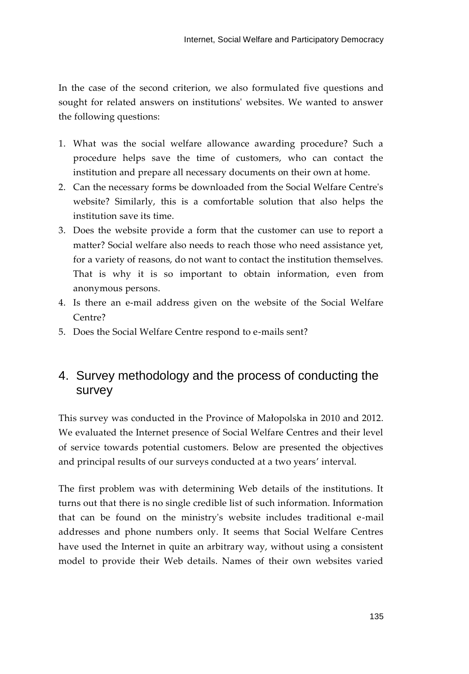In the case of the second criterion, we also formulated five questions and sought for related answers on institutions' websites. We wanted to answer the following questions:

- 1. What was the social welfare allowance awarding procedure? Such a procedure helps save the time of customers, who can contact the institution and prepare all necessary documents on their own at home.
- 2. Can the necessary forms be downloaded from the Social Welfare Centre's website? Similarly, this is a comfortable solution that also helps the institution save its time.
- 3. Does the website provide a form that the customer can use to report a matter? Social welfare also needs to reach those who need assistance yet, for a variety of reasons, do not want to contact the institution themselves. That is why it is so important to obtain information, even from anonymous persons.
- 4. Is there an e-mail address given on the website of the Social Welfare Centre?
- 5. Does the Social Welfare Centre respond to e-mails sent?

# 4. Survey methodology and the process of conducting the survey

This survey was conducted in the Province of Małopolska in 2010 and 2012. We evaluated the Internet presence of Social Welfare Centres and their level of service towards potential customers. Below are presented the objectives and principal results of our surveys conducted at a two years' interval.

The first problem was with determining Web details of the institutions. It turns out that there is no single credible list of such information. Information that can be found on the ministry's website includes traditional e-mail addresses and phone numbers only. It seems that Social Welfare Centres have used the Internet in quite an arbitrary way, without using a consistent model to provide their Web details. Names of their own websites varied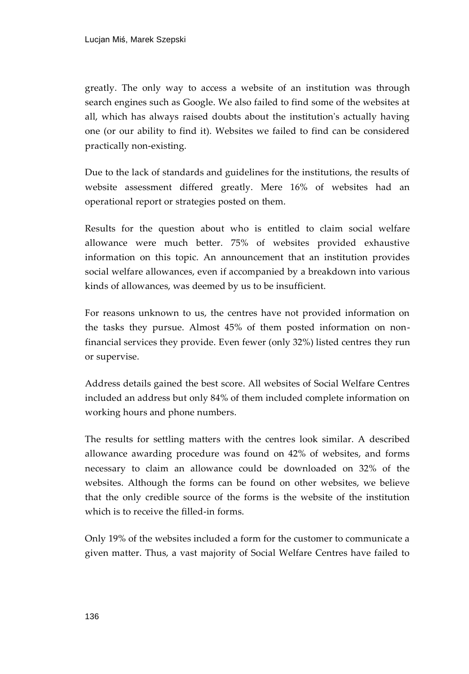greatly. The only way to access a website of an institution was through search engines such as Google. We also failed to find some of the websites at all, which has always raised doubts about the institution's actually having one (or our ability to find it). Websites we failed to find can be considered practically non-existing.

Due to the lack of standards and guidelines for the institutions, the results of website assessment differed greatly. Mere 16% of websites had an operational report or strategies posted on them.

Results for the question about who is entitled to claim social welfare allowance were much better. 75% of websites provided exhaustive information on this topic. An announcement that an institution provides social welfare allowances, even if accompanied by a breakdown into various kinds of allowances, was deemed by us to be insufficient.

For reasons unknown to us, the centres have not provided information on the tasks they pursue. Almost 45% of them posted information on nonfinancial services they provide. Even fewer (only 32%) listed centres they run or supervise.

Address details gained the best score. All websites of Social Welfare Centres included an address but only 84% of them included complete information on working hours and phone numbers.

The results for settling matters with the centres look similar. A described allowance awarding procedure was found on 42% of websites, and forms necessary to claim an allowance could be downloaded on 32% of the websites. Although the forms can be found on other websites, we believe that the only credible source of the forms is the website of the institution which is to receive the filled-in forms.

Only 19% of the websites included a form for the customer to communicate a given matter. Thus, a vast majority of Social Welfare Centres have failed to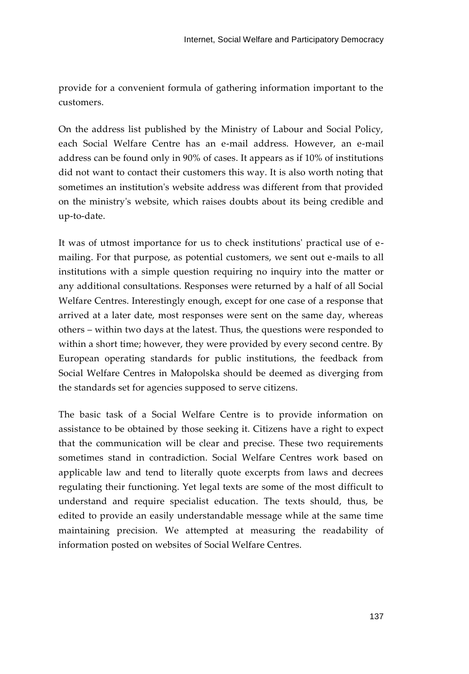provide for a convenient formula of gathering information important to the customers.

On the address list published by the Ministry of Labour and Social Policy, each Social Welfare Centre has an e-mail address. However, an e-mail address can be found only in 90% of cases. It appears as if 10% of institutions did not want to contact their customers this way. It is also worth noting that sometimes an institution's website address was different from that provided on the ministry's website, which raises doubts about its being credible and up-to-date.

It was of utmost importance for us to check institutions' practical use of emailing. For that purpose, as potential customers, we sent out e-mails to all institutions with a simple question requiring no inquiry into the matter or any additional consultations. Responses were returned by a half of all Social Welfare Centres. Interestingly enough, except for one case of a response that arrived at a later date, most responses were sent on the same day, whereas others – within two days at the latest. Thus, the questions were responded to within a short time; however, they were provided by every second centre. By European operating standards for public institutions, the feedback from Social Welfare Centres in Małopolska should be deemed as diverging from the standards set for agencies supposed to serve citizens.

The basic task of a Social Welfare Centre is to provide information on assistance to be obtained by those seeking it. Citizens have a right to expect that the communication will be clear and precise. These two requirements sometimes stand in contradiction. Social Welfare Centres work based on applicable law and tend to literally quote excerpts from laws and decrees regulating their functioning. Yet legal texts are some of the most difficult to understand and require specialist education. The texts should, thus, be edited to provide an easily understandable message while at the same time maintaining precision. We attempted at measuring the readability of information posted on websites of Social Welfare Centres.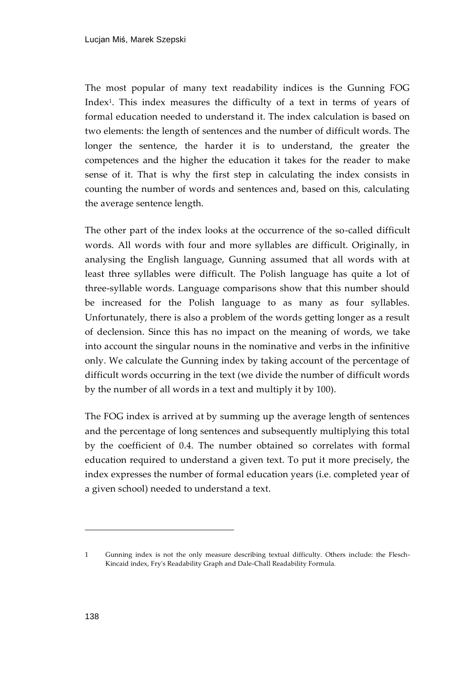The most popular of many text readability indices is the Gunning FOG Index<sup>1</sup> . This index measures the difficulty of a text in terms of years of formal education needed to understand it. The index calculation is based on two elements: the length of sentences and the number of difficult words. The longer the sentence, the harder it is to understand, the greater the competences and the higher the education it takes for the reader to make sense of it. That is why the first step in calculating the index consists in counting the number of words and sentences and, based on this, calculating the average sentence length.

The other part of the index looks at the occurrence of the so-called difficult words. All words with four and more syllables are difficult. Originally, in analysing the English language, Gunning assumed that all words with at least three syllables were difficult. The Polish language has quite a lot of three-syllable words. Language comparisons show that this number should be increased for the Polish language to as many as four syllables. Unfortunately, there is also a problem of the words getting longer as a result of declension. Since this has no impact on the meaning of words, we take into account the singular nouns in the nominative and verbs in the infinitive only. We calculate the Gunning index by taking account of the percentage of difficult words occurring in the text (we divide the number of difficult words by the number of all words in a text and multiply it by 100).

The FOG index is arrived at by summing up the average length of sentences and the percentage of long sentences and subsequently multiplying this total by the coefficient of 0.4. The number obtained so correlates with formal education required to understand a given text. To put it more precisely, the index expresses the number of formal education years (i.e. completed year of a given school) needed to understand a text.

j

<sup>1</sup> Gunning index is not the only measure describing textual difficulty. Others include: the Flesch-Kincaid index, Fry's Readability Graph and Dale-Chall Readability Formula.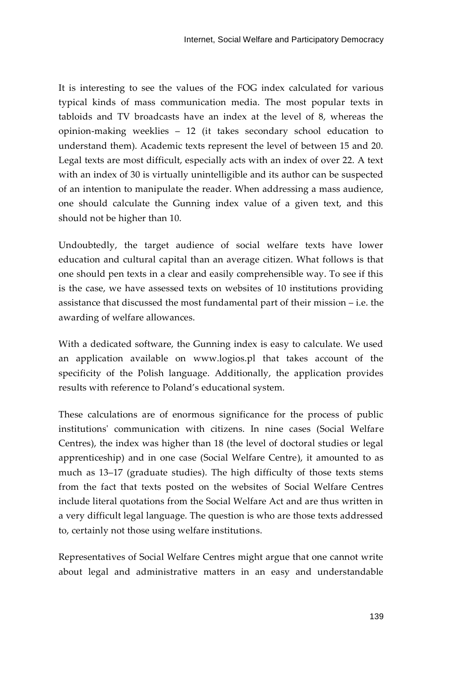It is interesting to see the values of the FOG index calculated for various typical kinds of mass communication media. The most popular texts in tabloids and TV broadcasts have an index at the level of 8, whereas the opinion-making weeklies – 12 (it takes secondary school education to understand them). Academic texts represent the level of between 15 and 20. Legal texts are most difficult, especially acts with an index of over 22. A text with an index of 30 is virtually unintelligible and its author can be suspected of an intention to manipulate the reader. When addressing a mass audience, one should calculate the Gunning index value of a given text, and this should not be higher than 10.

Undoubtedly, the target audience of social welfare texts have lower education and cultural capital than an average citizen. What follows is that one should pen texts in a clear and easily comprehensible way. To see if this is the case, we have assessed texts on websites of 10 institutions providing assistance that discussed the most fundamental part of their mission – i.e. the awarding of welfare allowances.

With a dedicated software, the Gunning index is easy to calculate. We used an application available on [www.logios.pl](http://www.logios.pl/) that takes account of the specificity of the Polish language. Additionally, the application provides results with reference to Poland's educational system.

These calculations are of enormous significance for the process of public institutions' communication with citizens. In nine cases (Social Welfare Centres), the index was higher than 18 (the level of doctoral studies or legal apprenticeship) and in one case (Social Welfare Centre), it amounted to as much as 13–17 (graduate studies). The high difficulty of those texts stems from the fact that texts posted on the websites of Social Welfare Centres include literal quotations from the Social Welfare Act and are thus written in a very difficult legal language. The question is who are those texts addressed to, certainly not those using welfare institutions.

Representatives of Social Welfare Centres might argue that one cannot write about legal and administrative matters in an easy and understandable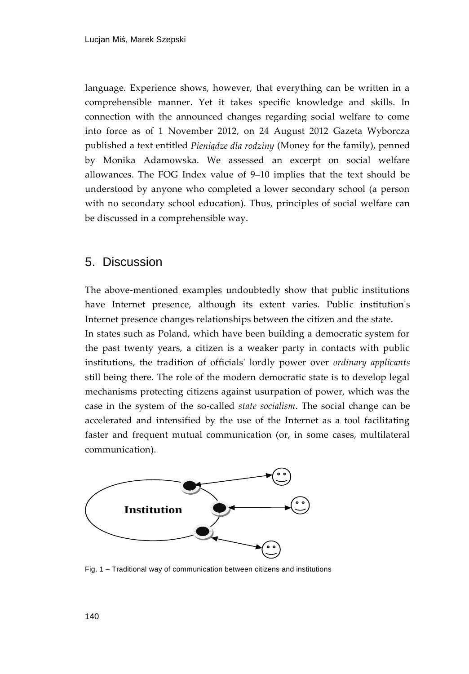language. Experience shows, however, that everything can be written in a comprehensible manner. Yet it takes specific knowledge and skills. In connection with the announced changes regarding social welfare to come into force as of 1 November 2012, on 24 August 2012 Gazeta Wyborcza published a text entitled *Pieniądze dla rodziny* (Money for the family), penned by Monika Adamowska. We assessed an excerpt on social welfare allowances. The FOG Index value of 9–10 implies that the text should be understood by anyone who completed a lower secondary school (a person with no secondary school education). Thus, principles of social welfare can be discussed in a comprehensible way.

#### 5. Discussion

The above-mentioned examples undoubtedly show that public institutions have Internet presence, although its extent varies. Public institution's Internet presence changes relationships between the citizen and the state.

In states such as Poland, which have been building a democratic system for the past twenty years, a citizen is a weaker party in contacts with public institutions, the tradition of officials' lordly power over *ordinary applicants* still being there. The role of the modern democratic state is to develop legal mechanisms protecting citizens against usurpation of power, which was the case in the system of the so-called *state socialism*. The social change can be accelerated and intensified by the use of the Internet as a tool facilitating faster and frequent mutual communication (or, in some cases, multilateral communication).



Fig. 1 – Traditional way of communication between citizens and institutions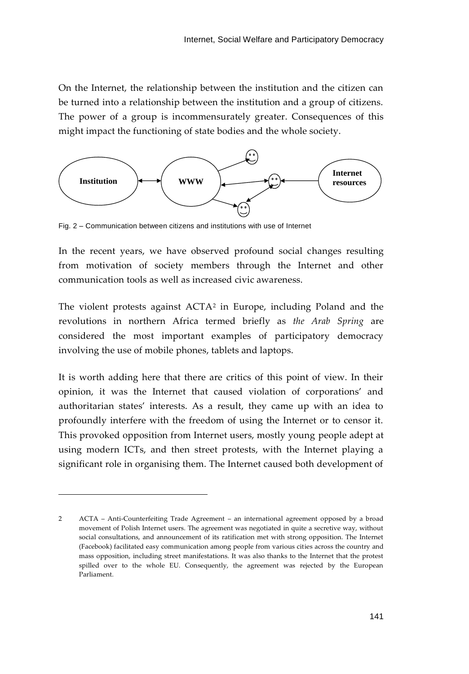On the Internet, the relationship between the institution and the citizen can be turned into a relationship between the institution and a group of citizens. The power of a group is incommensurately greater. Consequences of this might impact the functioning of state bodies and the whole society.



Fig. 2 – Communication between citizens and institutions with use of Internet

In the recent years, we have observed profound social changes resulting from motivation of society members through the Internet and other communication tools as well as increased civic awareness.

The violent protests against ACTA<sup>2</sup> in Europe, including Poland and the revolutions in northern Africa termed briefly as *the Arab Spring* are considered the most important examples of participatory democracy involving the use of mobile phones, tablets and laptops.

It is worth adding here that there are critics of this point of view. In their opinion, it was the Internet that caused violation of corporations' and authoritarian states' interests. As a result, they came up with an idea to profoundly interfere with the freedom of using the Internet or to censor it. This provoked opposition from Internet users, mostly young people adept at using modern ICTs, and then street protests, with the Internet playing a significant role in organising them. The Internet caused both development of

j

<sup>2</sup> ACTA – Anti-Counterfeiting Trade Agreement – an international agreement opposed by a broad movement of Polish Internet users. The agreement was negotiated in quite a secretive way, without social consultations, and announcement of its ratification met with strong opposition. The Internet (Facebook) facilitated easy communication among people from various cities across the country and mass opposition, including street manifestations. It was also thanks to the Internet that the protest spilled over to the whole EU. Consequently, the agreement was rejected by the European Parliament.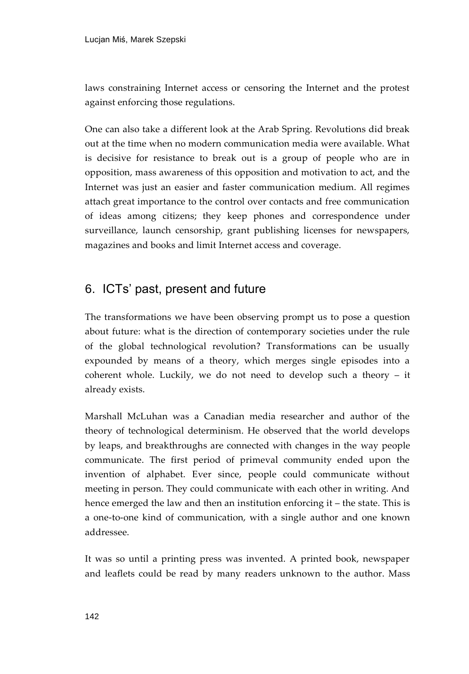laws constraining Internet access or censoring the Internet and the protest against enforcing those regulations.

One can also take a different look at the Arab Spring. Revolutions did break out at the time when no modern communication media were available. What is decisive for resistance to break out is a group of people who are in opposition, mass awareness of this opposition and motivation to act, and the Internet was just an easier and faster communication medium. All regimes attach great importance to the control over contacts and free communication of ideas among citizens; they keep phones and correspondence under surveillance, launch censorship, grant publishing licenses for newspapers, magazines and books and limit Internet access and coverage.

### 6. ICTs' past, present and future

The transformations we have been observing prompt us to pose a question about future: what is the direction of contemporary societies under the rule of the global technological revolution? Transformations can be usually expounded by means of a theory, which merges single episodes into a coherent whole. Luckily, we do not need to develop such a theory – it already exists.

Marshall McLuhan was a Canadian media researcher and author of the theory of technological determinism. He observed that the world develops by leaps, and breakthroughs are connected with changes in the way people communicate. The first period of primeval community ended upon the invention of alphabet. Ever since, people could communicate without meeting in person. They could communicate with each other in writing. And hence emerged the law and then an institution enforcing it – the state. This is a one-to-one kind of communication, with a single author and one known addressee.

It was so until a printing press was invented. A printed book, newspaper and leaflets could be read by many readers unknown to the author. Mass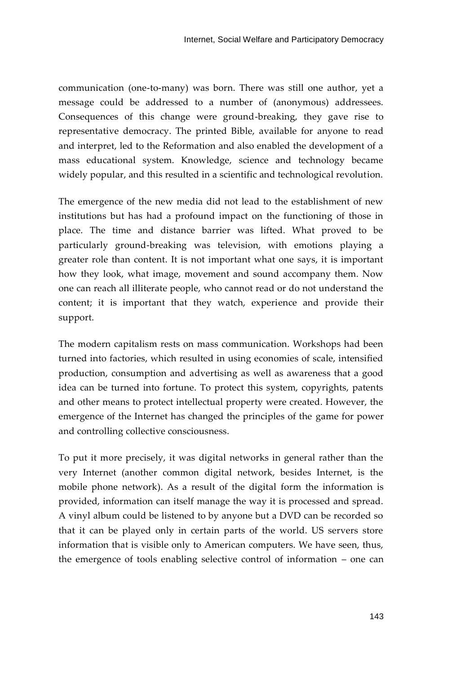communication (one-to-many) was born. There was still one author, yet a message could be addressed to a number of (anonymous) addressees. Consequences of this change were ground-breaking, they gave rise to representative democracy. The printed Bible, available for anyone to read and interpret, led to the Reformation and also enabled the development of a mass educational system. Knowledge, science and technology became widely popular, and this resulted in a scientific and technological revolution.

The emergence of the new media did not lead to the establishment of new institutions but has had a profound impact on the functioning of those in place. The time and distance barrier was lifted. What proved to be particularly ground-breaking was television, with emotions playing a greater role than content. It is not important what one says, it is important how they look, what image, movement and sound accompany them. Now one can reach all illiterate people, who cannot read or do not understand the content; it is important that they watch, experience and provide their support.

The modern capitalism rests on mass communication. Workshops had been turned into factories, which resulted in using economies of scale, intensified production, consumption and advertising as well as awareness that a good idea can be turned into fortune. To protect this system, copyrights, patents and other means to protect intellectual property were created. However, the emergence of the Internet has changed the principles of the game for power and controlling collective consciousness.

To put it more precisely, it was digital networks in general rather than the very Internet (another common digital network, besides Internet, is the mobile phone network). As a result of the digital form the information is provided, information can itself manage the way it is processed and spread. A vinyl album could be listened to by anyone but a DVD can be recorded so that it can be played only in certain parts of the world. US servers store information that is visible only to American computers. We have seen, thus, the emergence of tools enabling selective control of information – one can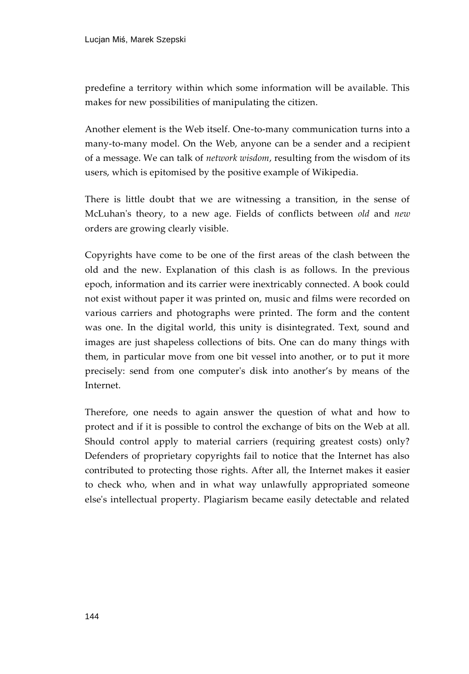predefine a territory within which some information will be available. This makes for new possibilities of manipulating the citizen.

Another element is the Web itself. One-to-many communication turns into a many-to-many model. On the Web, anyone can be a sender and a recipient of a message. We can talk of *network wisdom*, resulting from the wisdom of its users, which is epitomised by the positive example of Wikipedia.

There is little doubt that we are witnessing a transition, in the sense of McLuhan's theory, to a new age. Fields of conflicts between *old* and *new* orders are growing clearly visible.

Copyrights have come to be one of the first areas of the clash between the old and the new. Explanation of this clash is as follows. In the previous epoch, information and its carrier were inextricably connected. A book could not exist without paper it was printed on, music and films were recorded on various carriers and photographs were printed. The form and the content was one. In the digital world, this unity is disintegrated. Text, sound and images are just shapeless collections of bits. One can do many things with them, in particular move from one bit vessel into another, or to put it more precisely: send from one computer's disk into another's by means of the Internet.

Therefore, one needs to again answer the question of what and how to protect and if it is possible to control the exchange of bits on the Web at all. Should control apply to material carriers (requiring greatest costs) only? Defenders of proprietary copyrights fail to notice that the Internet has also contributed to protecting those rights. After all, the Internet makes it easier to check who, when and in what way unlawfully appropriated someone else's intellectual property. Plagiarism became easily detectable and related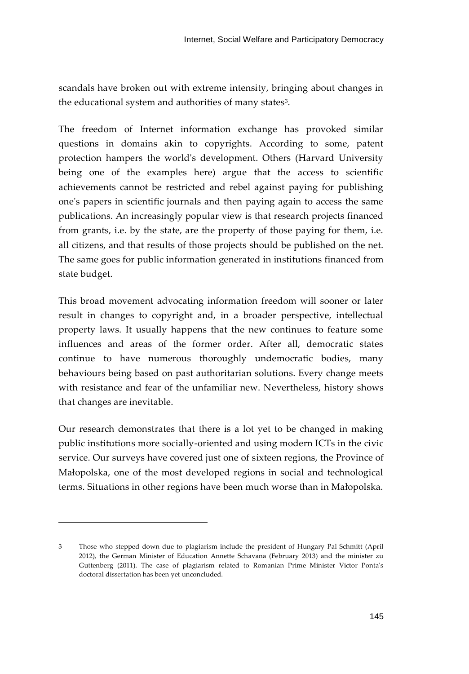scandals have broken out with extreme intensity, bringing about changes in the educational system and authorities of many states<sup>3</sup>.

The freedom of Internet information exchange has provoked similar questions in domains akin to copyrights. According to some, patent protection hampers the world's development. Others (Harvard University being one of the examples here) argue that the access to scientific achievements cannot be restricted and rebel against paying for publishing one's papers in scientific journals and then paying again to access the same publications. An increasingly popular view is that research projects financed from grants, i.e. by the state, are the property of those paying for them, i.e. all citizens, and that results of those projects should be published on the net. The same goes for public information generated in institutions financed from state budget.

This broad movement advocating information freedom will sooner or later result in changes to copyright and, in a broader perspective, intellectual property laws. It usually happens that the new continues to feature some influences and areas of the former order. After all, democratic states continue to have numerous thoroughly undemocratic bodies, many behaviours being based on past authoritarian solutions. Every change meets with resistance and fear of the unfamiliar new. Nevertheless, history shows that changes are inevitable.

Our research demonstrates that there is a lot yet to be changed in making public institutions more socially-oriented and using modern ICTs in the civic service. Our surveys have covered just one of sixteen regions, the Province of Małopolska, one of the most developed regions in social and technological terms. Situations in other regions have been much worse than in Małopolska.

j

<sup>3</sup> Those who stepped down due to plagiarism include the president of Hungary Pal Schmitt (April 2012), the German Minister of Education Annette Schavana (February 2013) and the minister zu Guttenberg (2011). The case of plagiarism related to Romanian Prime Minister Victor Ponta's doctoral dissertation has been yet unconcluded.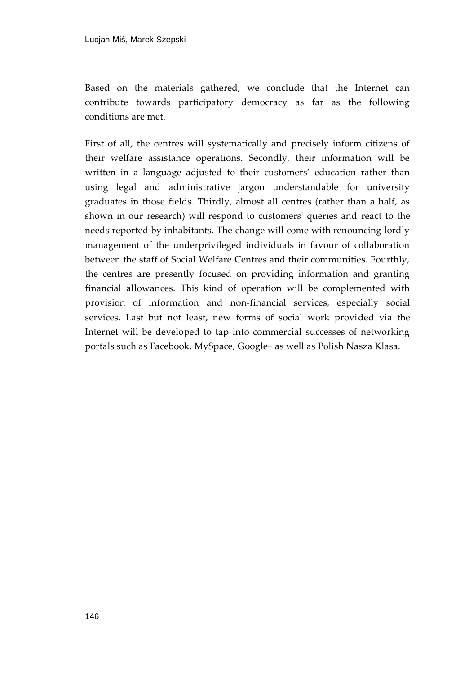Based on the materials gathered, we conclude that the Internet can contribute towards participatory democracy as far as the following conditions are met.

First of all, the centres will systematically and precisely inform citizens of their welfare assistance operations. Secondly, their information will be written in a language adjusted to their customers' education rather than using legal and administrative jargon understandable for university graduates in those fields. Thirdly, almost all centres (rather than a half, as shown in our research) will respond to customers' queries and react to the needs reported by inhabitants. The change will come with renouncing lordly management of the underprivileged individuals in favour of collaboration between the staff of Social Welfare Centres and their communities. Fourthly, the centres are presently focused on providing information and granting financial allowances. This kind of operation will be complemented with provision of information and non-financial services, especially social services. Last but not least, new forms of social work provided via the Internet will be developed to tap into commercial successes of networking portals such as Facebook, MySpace, Google+ as well as Polish Nasza Klasa.